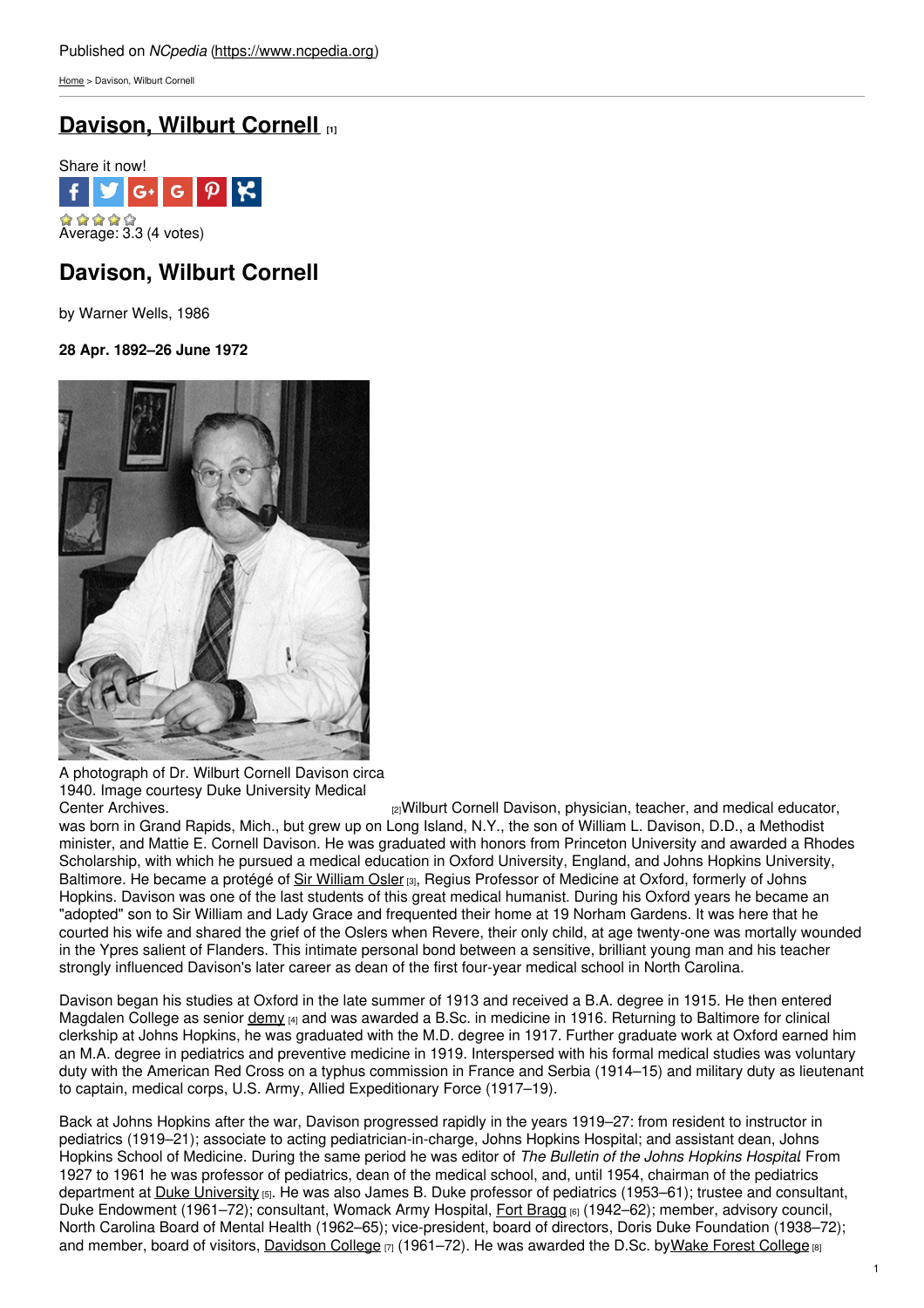[Home](https://www.ncpedia.org/) > Davison, Wilburt Cornell

# **[Davison,](https://www.ncpedia.org/biography/davison-wilburt-cornell) Wilburt Cornell [1]**



# **Davison, Wilburt Cornell**

by Warner Wells, 1986

**28 Apr. 1892–26 June 1972**



A photograph of Dr. Wilburt Cornell Davison circa 1940. Image courtesy Duke University Medical

 $_{[2]}$ Wilburt Cornell Davison, physician, teacher, and medical educator, was born in Grand Rapids, Mich., but grew up on Long Island, N.Y., the son of William L. Davison, D.D., a Methodist minister, and Mattie E. Cornell Davison. He was graduated with honors from Princeton University and awarded a Rhodes Scholarship, with which he pursued a medical education in Oxford University, England, and Johns Hopkins University, Baltimore. He became a protégé of Sir [William](http://profiles.nlm.nih.gov/GF) Osler [3], Regius Professor of Medicine at Oxford, formerly of Johns Hopkins. Davison was one of the last students of this great medical humanist. During his Oxford years he became an "adopted" son to Sir William and Lady Grace and frequented their home at 19 Norham Gardens. It was here that he courted his wife and shared the grief of the Oslers when Revere, their only child, at age twenty-one was mortally wounded in the Ypres salient of Flanders. This intimate personal bond between a sensitive, brilliant young man and his teacher strongly influenced Davison's later career as dean of the first four-year medical school in North Carolina.

Davison began his studies at Oxford in the late summer of 1913 and received a B.A. degree in 1915. He then entered Magdalen College as senior [demy](http://dictionary.reference.com/browse/demy?s=t) [4] and was awarded a B.Sc. in medicine in 1916. Returning to Baltimore for clinical clerkship at Johns Hopkins, he was graduated with the M.D. degree in 1917. Further graduate work at Oxford earned him an M.A. degree in pediatrics and preventive medicine in 1919. Interspersed with his formal medical studies was voluntary duty with the American Red Cross on a typhus commission in France and Serbia (1914–15) and military duty as lieutenant to captain, medical corps, U.S. Army, Allied Expeditionary Force (1917–19).

Back at Johns Hopkins after the war, Davison progressed rapidly in the years 1919–27: from resident to instructor in pediatrics (1919–21); associate to acting pediatrician-in-charge, Johns Hopkins Hospital; and assistant dean, Johns Hopkins School of Medicine. During the same period he was editor of *The Bulletin of the Johns Hopkins Hospital*. From 1927 to 1961 he was professor of pediatrics, dean of the medical school, and, until 1954, chairman of the pediatrics department at Duke [University](https://www.ncpedia.org/duke-university)  $[5]$ . He was also James B. Duke professor of pediatrics (1953–61); trustee and consultant, Duke Endowment (1961–72); consultant, Womack Army Hospital, *Fort [Bragg](https://www.ncpedia.org/fort-bragg)* [6] (1942–62); member, advisory council, North Carolina Board of Mental Health (1962–65); vice-president, board of directors, Doris Duke Foundation (1938–72); and member, board of visitors, [Davidson](https://www.ncpedia.org/davidson-college) [College](https://www.ncpedia.org/wake-forest-university)  $[7]$  (1961–72). He was awarded the D.Sc. by Wake Forest College  $[8]$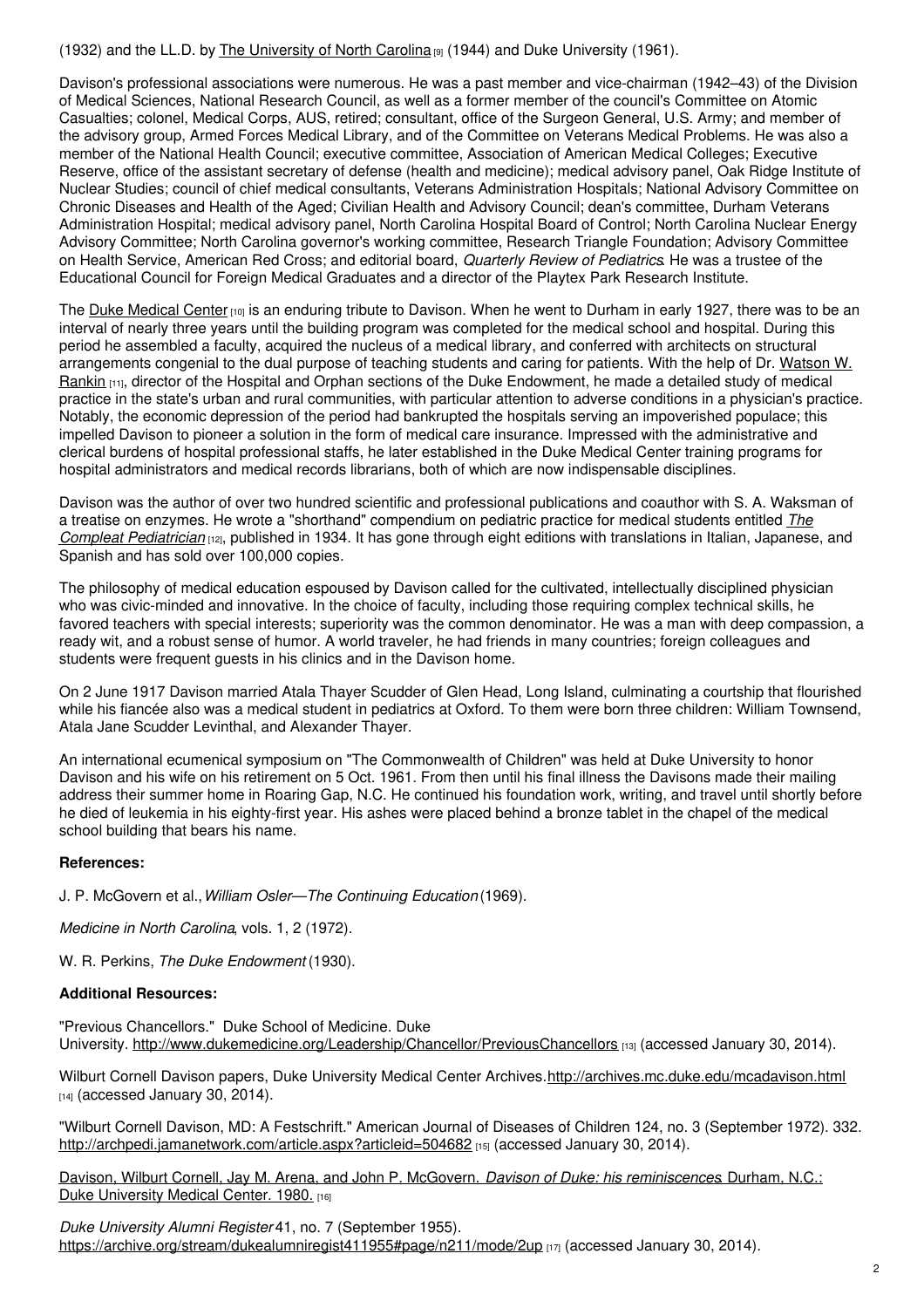(1932) and the LL.D. by The [University](https://www.ncpedia.org/university-north-carolina-chapel-hi) of North Carolina  $[9]$  (1944) and Duke University (1961).

Davison's professional associations were numerous. He was a past member and vice-chairman (1942–43) of the Division of Medical Sciences, National Research Council, as well as a former member of the council's Committee on Atomic Casualties; colonel, Medical Corps, AUS, retired; consultant, office of the Surgeon General, U.S. Army; and member of the advisory group, Armed Forces Medical Library, and of the Committee on Veterans Medical Problems. He was also a member of the National Health Council; executive committee, Association of American Medical Colleges; Executive Reserve, office of the assistant secretary of defense (health and medicine); medical advisory panel, Oak Ridge Institute of Nuclear Studies; council of chief medical consultants, Veterans Administration Hospitals; National Advisory Committee on Chronic Diseases and Health of the Aged; Civilian Health and Advisory Council; dean's committee, Durham Veterans Administration Hospital; medical advisory panel, North Carolina Hospital Board of Control; North Carolina Nuclear Energy Advisory Committee; North Carolina governor's working committee, Research Triangle Foundation; Advisory Committee on Health Service, American Red Cross; and editorial board, *Quarterly Review of Pediatrics*. He was a trustee of the Educational Council for Foreign Medical Graduates and a director of the Playtex Park Research Institute.

The Duke [Medical](http://www.dukehealth.org) Center [10] is an enduring tribute to Davison. When he went to Durham in early 1927, there was to be an interval of nearly three years until the building program was completed for the medical school and hospital. During this period he assembled a faculty, acquired the nucleus of a medical library, and conferred with architects on structural [arrangements](https://www.ncpedia.org/biography/rankin-watson-smith) congenial to the dual purpose of teaching students and caring for patients. With the help of Dr. Watson W. Rankin [11], director of the Hospital and Orphan sections of the Duke Endowment, he made a detailed study of medical practice in the state's urban and rural communities, with particular attention to adverse conditions in a physician's practice. Notably, the economic depression of the period had bankrupted the hospitals serving an impoverished populace; this impelled Davison to pioneer a solution in the form of medical care insurance. Impressed with the administrative and clerical burdens of hospital professional staffs, he later established in the Duke Medical Center training programs for hospital administrators and medical records librarians, both of which are now indispensable disciplines.

Davison was the author of over two hundred scientific and professional publications and coauthor with S. A. Waksman of a treatise on enzymes. He wrote a "shorthand" [compendium](https://www.worldcat.org/oclc/353846345) on pediatric practice for medical students entitled *The Compleat Pediatrician* [12], published in 1934. It has gone through eight editions with translations in Italian, Japanese, and Spanish and has sold over 100,000 copies.

The philosophy of medical education espoused by Davison called for the cultivated, intellectually disciplined physician who was civic-minded and innovative. In the choice of faculty, including those requiring complex technical skills, he favored teachers with special interests; superiority was the common denominator. He was a man with deep compassion, a ready wit, and a robust sense of humor. A world traveler, he had friends in many countries; foreign colleagues and students were frequent quests in his clinics and in the Davison home.

On 2 June 1917 Davison married Atala Thayer Scudder of Glen Head, Long Island, culminating a courtship that flourished while his fiancée also was a medical student in pediatrics at Oxford. To them were born three children: William Townsend, Atala Jane Scudder Levinthal, and Alexander Thayer.

An international ecumenical symposium on "The Commonwealth of Children" was held at Duke University to honor Davison and his wife on his retirement on 5 Oct. 1961. From then until his final illness the Davisons made their mailing address their summer home in Roaring Gap, N.C. He continued his foundation work, writing, and travel until shortly before he died of leukemia in his eighty-first year. His ashes were placed behind a bronze tablet in the chapel of the medical school building that bears his name.

### **References:**

J. P. McGovern et al.,*William Osler—The Continuing Education* (1969).

*Medicine in North Carolina*, vols. 1, 2 (1972).

W. R. Perkins, *The Duke Endowment* (1930).

### **Additional Resources:**

"Previous Chancellors." Duke School of Medicine. Duke University. <http://www.dukemedicine.org/Leadership/Chancellor/PreviousChancellors> [13] (accessed January 30, 2014).

Wilburt Cornell Davison papers, Duke University Medical Center Archives[.http://archives.mc.duke.edu/mcadavison.html](http://archives.mc.duke.edu/mcadavison.html)  $[14]$  (accessed January 30, 2014).

"Wilburt Cornell Davison, MD: A Festschrift." American Journal of Diseases of Children 124, no. 3 (September 1972). 332. <http://archpedi.jamanetwork.com/article.aspx?articleid=504682> [15] (accessed January 30, 2014).

Davison, Wilburt Cornell, Jay M. Arena, and John P. McGovern. *Davison of Duke: his [reminiscences](https://www.worldcat.org/oclc/6956026)*. Durham, N.C.: Duke University Medical Center. 1980. [16]

*Duke University Alumni Register* 41, no. 7 (September 1955). <https://archive.org/stream/dukealumniregist411955#page/n211/mode/2up> [17] (accessed January 30, 2014).